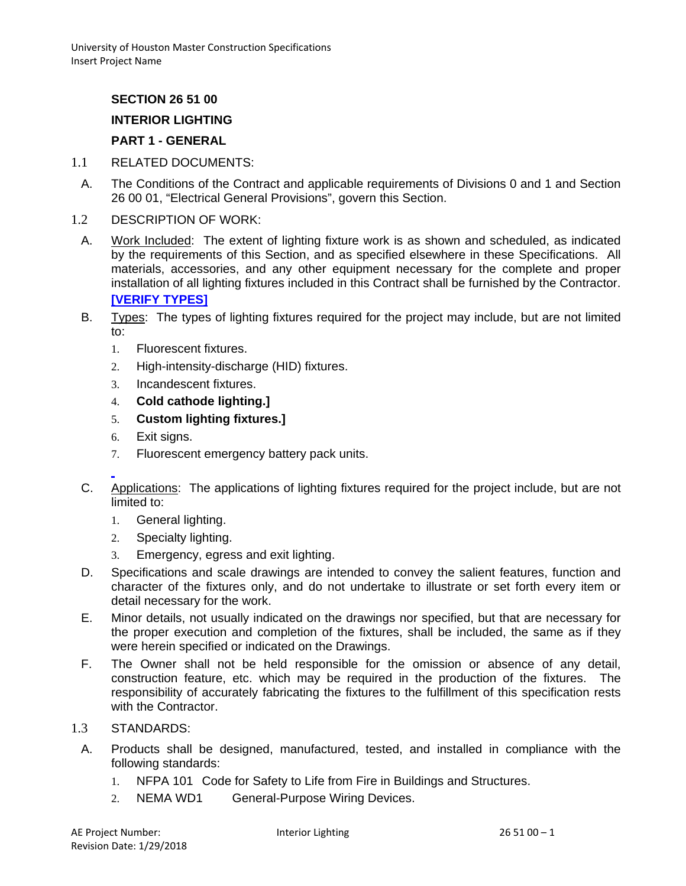# **SECTION 26 51 00**

## **INTERIOR LIGHTING**

## **PART 1 - GENERAL**

- 1.1 RELATED DOCUMENTS:
- A. The Conditions of the Contract and applicable requirements of Divisions 0 and 1 and Section 26 00 01, "Electrical General Provisions", govern this Section.
- 1.2 DESCRIPTION OF WORK:
	- A. Work Included: The extent of lighting fixture work is as shown and scheduled, as indicated by the requirements of this Section, and as specified elsewhere in these Specifications. All materials, accessories, and any other equipment necessary for the complete and proper installation of all lighting fixtures included in this Contract shall be furnished by the Contractor. **[VERIFY TYPES]**
	- B. Types: The types of lighting fixtures required for the project may include, but are not limited to:
		- 1. Fluorescent fixtures.
		- 2. High-intensity-discharge (HID) fixtures.
		- 3. Incandescent fixtures.
		- 4. **Cold cathode lighting.]**
		- 5. **Custom lighting fixtures.]**
		- 6. Exit signs.
		- 7. Fluorescent emergency battery pack units.
	- C. Applications: The applications of lighting fixtures required for the project include, but are not limited to:
		- 1. General lighting.
		- 2. Specialty lighting.
		- 3. Emergency, egress and exit lighting.
	- D. Specifications and scale drawings are intended to convey the salient features, function and character of the fixtures only, and do not undertake to illustrate or set forth every item or detail necessary for the work.
	- E. Minor details, not usually indicated on the drawings nor specified, but that are necessary for the proper execution and completion of the fixtures, shall be included, the same as if they were herein specified or indicated on the Drawings.
	- F. The Owner shall not be held responsible for the omission or absence of any detail, construction feature, etc. which may be required in the production of the fixtures. The responsibility of accurately fabricating the fixtures to the fulfillment of this specification rests with the Contractor.

## 1.3 STANDARDS:

- A. Products shall be designed, manufactured, tested, and installed in compliance with the following standards:
	- 1. NFPA 101 Code for Safety to Life from Fire in Buildings and Structures.
	- 2. NEMA WD1 General-Purpose Wiring Devices.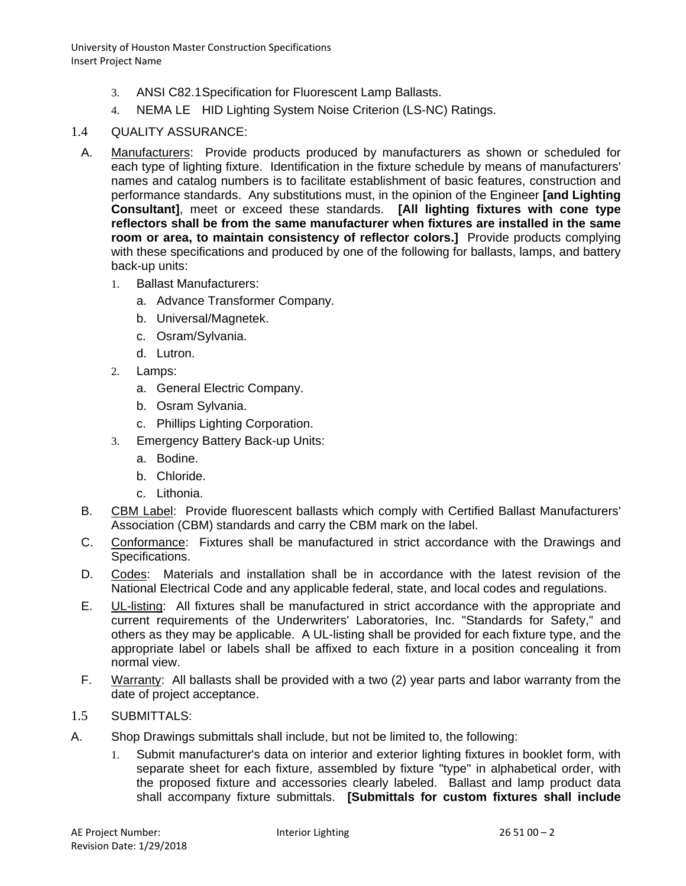- 3. ANSI C82.1Specification for Fluorescent Lamp Ballasts.
- 4. NEMA LE HID Lighting System Noise Criterion (LS-NC) Ratings.

## 1.4 QUALITY ASSURANCE:

- A. Manufacturers: Provide products produced by manufacturers as shown or scheduled for each type of lighting fixture. Identification in the fixture schedule by means of manufacturers' names and catalog numbers is to facilitate establishment of basic features, construction and performance standards. Any substitutions must, in the opinion of the Engineer **[and Lighting Consultant]**, meet or exceed these standards. **[All lighting fixtures with cone type reflectors shall be from the same manufacturer when fixtures are installed in the same room or area, to maintain consistency of reflector colors.]** Provide products complying with these specifications and produced by one of the following for ballasts, lamps, and battery back-up units:
	- 1. Ballast Manufacturers:
		- a. Advance Transformer Company.
		- b. Universal/Magnetek.
		- c. Osram/Sylvania.
		- d. Lutron.
	- 2. Lamps:
		- a. General Electric Company.
		- b. Osram Sylvania.
		- c. Phillips Lighting Corporation.
	- 3. Emergency Battery Back-up Units:
		- a. Bodine.
		- b. Chloride.
		- c. Lithonia.
- B. CBM Label: Provide fluorescent ballasts which comply with Certified Ballast Manufacturers' Association (CBM) standards and carry the CBM mark on the label.
- C. Conformance: Fixtures shall be manufactured in strict accordance with the Drawings and Specifications.
- D. Codes: Materials and installation shall be in accordance with the latest revision of the National Electrical Code and any applicable federal, state, and local codes and regulations.
- E. UL-listing: All fixtures shall be manufactured in strict accordance with the appropriate and current requirements of the Underwriters' Laboratories, Inc. "Standards for Safety," and others as they may be applicable. A UL-listing shall be provided for each fixture type, and the appropriate label or labels shall be affixed to each fixture in a position concealing it from normal view.
- F. Warranty: All ballasts shall be provided with a two (2) year parts and labor warranty from the date of project acceptance.
- 1.5 SUBMITTALS:
- A. Shop Drawings submittals shall include, but not be limited to, the following:
	- 1. Submit manufacturer's data on interior and exterior lighting fixtures in booklet form, with separate sheet for each fixture, assembled by fixture "type" in alphabetical order, with the proposed fixture and accessories clearly labeled. Ballast and lamp product data shall accompany fixture submittals. **[Submittals for custom fixtures shall include**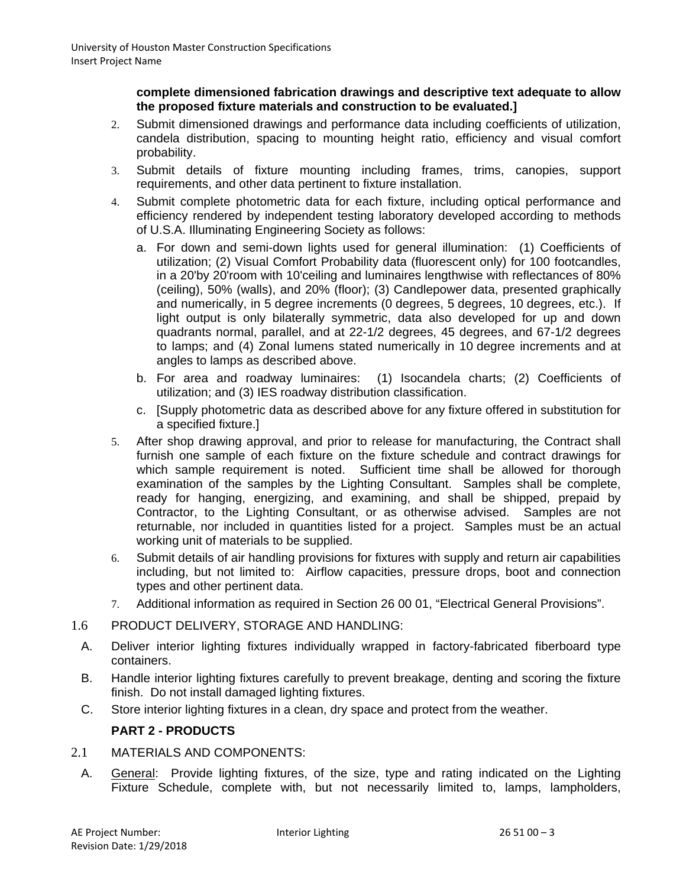#### **complete dimensioned fabrication drawings and descriptive text adequate to allow the proposed fixture materials and construction to be evaluated.]**

- 2. Submit dimensioned drawings and performance data including coefficients of utilization, candela distribution, spacing to mounting height ratio, efficiency and visual comfort probability.
- 3. Submit details of fixture mounting including frames, trims, canopies, support requirements, and other data pertinent to fixture installation.
- 4. Submit complete photometric data for each fixture, including optical performance and efficiency rendered by independent testing laboratory developed according to methods of U.S.A. Illuminating Engineering Society as follows:
	- a. For down and semi-down lights used for general illumination: (1) Coefficients of utilization; (2) Visual Comfort Probability data (fluorescent only) for 100 footcandles, in a 20'by 20'room with 10'ceiling and luminaires lengthwise with reflectances of 80% (ceiling), 50% (walls), and 20% (floor); (3) Candlepower data, presented graphically and numerically, in 5 degree increments (0 degrees, 5 degrees, 10 degrees, etc.). If light output is only bilaterally symmetric, data also developed for up and down quadrants normal, parallel, and at 22-1/2 degrees, 45 degrees, and 67-1/2 degrees to lamps; and (4) Zonal lumens stated numerically in 10 degree increments and at angles to lamps as described above.
	- b. For area and roadway luminaires: (1) Isocandela charts; (2) Coefficients of utilization; and (3) IES roadway distribution classification.
	- c. [Supply photometric data as described above for any fixture offered in substitution for a specified fixture.]
- 5. After shop drawing approval, and prior to release for manufacturing, the Contract shall furnish one sample of each fixture on the fixture schedule and contract drawings for which sample requirement is noted. Sufficient time shall be allowed for thorough examination of the samples by the Lighting Consultant. Samples shall be complete, ready for hanging, energizing, and examining, and shall be shipped, prepaid by Contractor, to the Lighting Consultant, or as otherwise advised. Samples are not returnable, nor included in quantities listed for a project. Samples must be an actual working unit of materials to be supplied.
- 6. Submit details of air handling provisions for fixtures with supply and return air capabilities including, but not limited to: Airflow capacities, pressure drops, boot and connection types and other pertinent data.
- 7. Additional information as required in Section 26 00 01, "Electrical General Provisions".
- 1.6 PRODUCT DELIVERY, STORAGE AND HANDLING:
	- A. Deliver interior lighting fixtures individually wrapped in factory-fabricated fiberboard type containers.
	- B. Handle interior lighting fixtures carefully to prevent breakage, denting and scoring the fixture finish. Do not install damaged lighting fixtures.
	- C. Store interior lighting fixtures in a clean, dry space and protect from the weather.

# **PART 2 - PRODUCTS**

- 2.1 MATERIALS AND COMPONENTS:
	- A. General: Provide lighting fixtures, of the size, type and rating indicated on the Lighting Fixture Schedule, complete with, but not necessarily limited to, lamps, lampholders,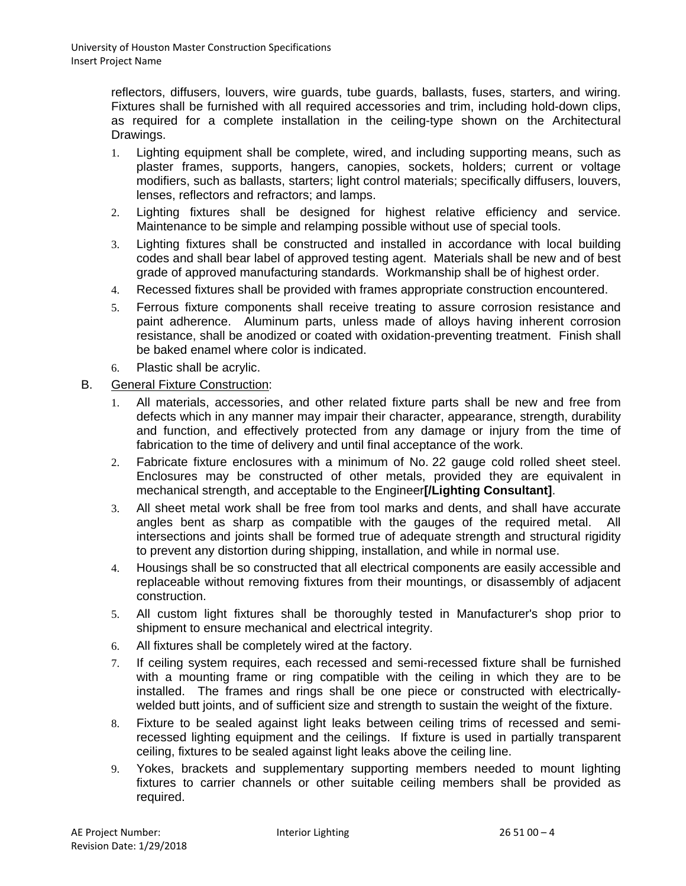reflectors, diffusers, louvers, wire guards, tube guards, ballasts, fuses, starters, and wiring. Fixtures shall be furnished with all required accessories and trim, including hold-down clips, as required for a complete installation in the ceiling-type shown on the Architectural Drawings.

- 1. Lighting equipment shall be complete, wired, and including supporting means, such as plaster frames, supports, hangers, canopies, sockets, holders; current or voltage modifiers, such as ballasts, starters; light control materials; specifically diffusers, louvers, lenses, reflectors and refractors; and lamps.
- 2. Lighting fixtures shall be designed for highest relative efficiency and service. Maintenance to be simple and relamping possible without use of special tools.
- 3. Lighting fixtures shall be constructed and installed in accordance with local building codes and shall bear label of approved testing agent. Materials shall be new and of best grade of approved manufacturing standards. Workmanship shall be of highest order.
- 4. Recessed fixtures shall be provided with frames appropriate construction encountered.
- 5. Ferrous fixture components shall receive treating to assure corrosion resistance and paint adherence. Aluminum parts, unless made of alloys having inherent corrosion resistance, shall be anodized or coated with oxidation-preventing treatment. Finish shall be baked enamel where color is indicated.
- 6. Plastic shall be acrylic.
- B. General Fixture Construction:
	- 1. All materials, accessories, and other related fixture parts shall be new and free from defects which in any manner may impair their character, appearance, strength, durability and function, and effectively protected from any damage or injury from the time of fabrication to the time of delivery and until final acceptance of the work.
	- 2. Fabricate fixture enclosures with a minimum of No. 22 gauge cold rolled sheet steel. Enclosures may be constructed of other metals, provided they are equivalent in mechanical strength, and acceptable to the Engineer**[/Lighting Consultant]**.
	- 3. All sheet metal work shall be free from tool marks and dents, and shall have accurate angles bent as sharp as compatible with the gauges of the required metal. All intersections and joints shall be formed true of adequate strength and structural rigidity to prevent any distortion during shipping, installation, and while in normal use.
	- 4. Housings shall be so constructed that all electrical components are easily accessible and replaceable without removing fixtures from their mountings, or disassembly of adjacent construction.
	- 5. All custom light fixtures shall be thoroughly tested in Manufacturer's shop prior to shipment to ensure mechanical and electrical integrity.
	- 6. All fixtures shall be completely wired at the factory.
	- 7. If ceiling system requires, each recessed and semi-recessed fixture shall be furnished with a mounting frame or ring compatible with the ceiling in which they are to be installed. The frames and rings shall be one piece or constructed with electricallywelded butt joints, and of sufficient size and strength to sustain the weight of the fixture.
	- 8. Fixture to be sealed against light leaks between ceiling trims of recessed and semirecessed lighting equipment and the ceilings. If fixture is used in partially transparent ceiling, fixtures to be sealed against light leaks above the ceiling line.
	- 9. Yokes, brackets and supplementary supporting members needed to mount lighting fixtures to carrier channels or other suitable ceiling members shall be provided as required.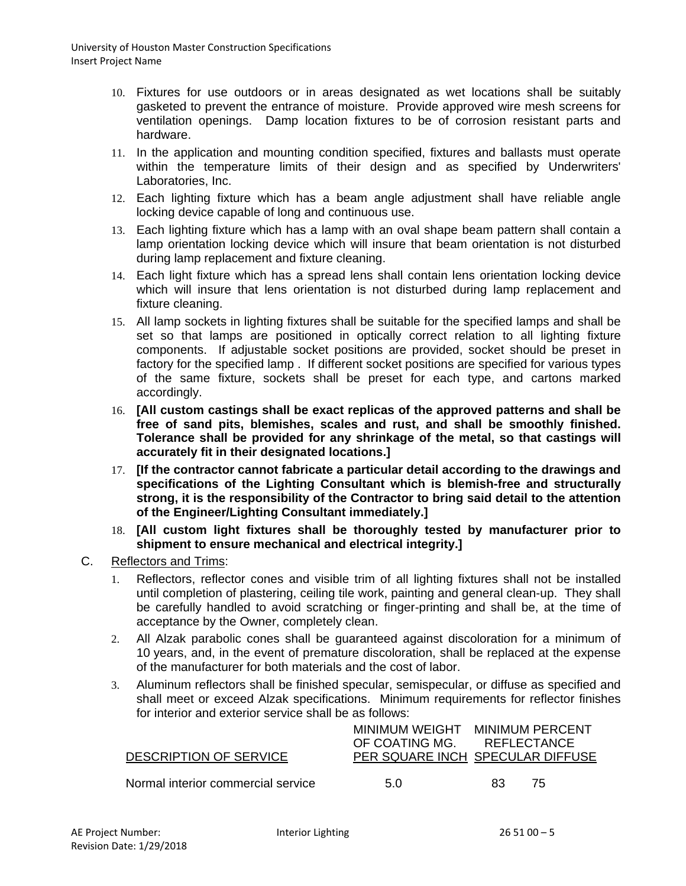- 10. Fixtures for use outdoors or in areas designated as wet locations shall be suitably gasketed to prevent the entrance of moisture. Provide approved wire mesh screens for ventilation openings. Damp location fixtures to be of corrosion resistant parts and hardware.
- 11. In the application and mounting condition specified, fixtures and ballasts must operate within the temperature limits of their design and as specified by Underwriters' Laboratories, Inc.
- 12. Each lighting fixture which has a beam angle adjustment shall have reliable angle locking device capable of long and continuous use.
- 13. Each lighting fixture which has a lamp with an oval shape beam pattern shall contain a lamp orientation locking device which will insure that beam orientation is not disturbed during lamp replacement and fixture cleaning.
- 14. Each light fixture which has a spread lens shall contain lens orientation locking device which will insure that lens orientation is not disturbed during lamp replacement and fixture cleaning.
- 15. All lamp sockets in lighting fixtures shall be suitable for the specified lamps and shall be set so that lamps are positioned in optically correct relation to all lighting fixture components. If adjustable socket positions are provided, socket should be preset in factory for the specified lamp . If different socket positions are specified for various types of the same fixture, sockets shall be preset for each type, and cartons marked accordingly.
- 16. **[All custom castings shall be exact replicas of the approved patterns and shall be free of sand pits, blemishes, scales and rust, and shall be smoothly finished. Tolerance shall be provided for any shrinkage of the metal, so that castings will accurately fit in their designated locations.]**
- 17. **[If the contractor cannot fabricate a particular detail according to the drawings and specifications of the Lighting Consultant which is blemish-free and structurally strong, it is the responsibility of the Contractor to bring said detail to the attention of the Engineer/Lighting Consultant immediately.]**
- 18. **[All custom light fixtures shall be thoroughly tested by manufacturer prior to shipment to ensure mechanical and electrical integrity.]**
- C. Reflectors and Trims:
	- 1. Reflectors, reflector cones and visible trim of all lighting fixtures shall not be installed until completion of plastering, ceiling tile work, painting and general clean-up. They shall be carefully handled to avoid scratching or finger-printing and shall be, at the time of acceptance by the Owner, completely clean.
	- 2. All Alzak parabolic cones shall be guaranteed against discoloration for a minimum of 10 years, and, in the event of premature discoloration, shall be replaced at the expense of the manufacturer for both materials and the cost of labor.
	- 3. Aluminum reflectors shall be finished specular, semispecular, or diffuse as specified and shall meet or exceed Alzak specifications. Minimum requirements for reflector finishes for interior and exterior service shall be as follows:

|                                    |                                  | MINIMUM WEIGHT MINIMUM PERCENT |             |  |
|------------------------------------|----------------------------------|--------------------------------|-------------|--|
|                                    | OF COATING MG.                   |                                | REFLECTANCE |  |
| <b>DESCRIPTION OF SERVICE</b>      | PER SQUARE INCH SPECULAR DIFFUSE |                                |             |  |
|                                    |                                  |                                |             |  |
| Normal interior commercial service | 5.0                              | 83.                            | 75          |  |
|                                    |                                  |                                |             |  |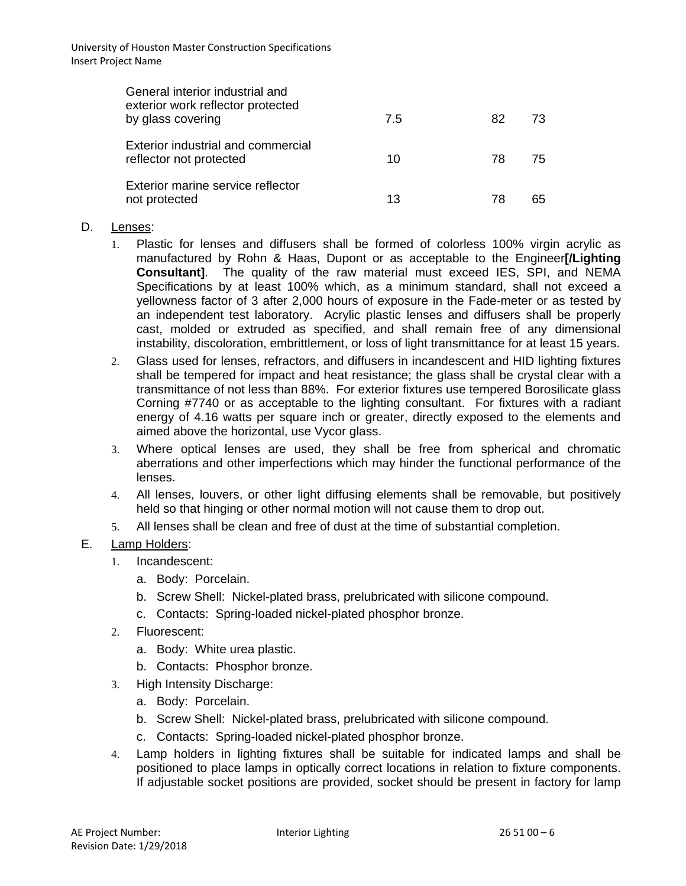| General interior industrial and<br>exterior work reflector protected<br>by glass covering | 7.5 | 82 | 73  |
|-------------------------------------------------------------------------------------------|-----|----|-----|
| Exterior industrial and commercial<br>reflector not protected                             | 10  | 78 | 75. |
| Exterior marine service reflector<br>not protected                                        | 13  | 78 | 65  |

#### D. Lenses:

- 1. Plastic for lenses and diffusers shall be formed of colorless 100% virgin acrylic as manufactured by Rohn & Haas, Dupont or as acceptable to the Engineer**[/Lighting Consultant]**. The quality of the raw material must exceed IES, SPI, and NEMA Specifications by at least 100% which, as a minimum standard, shall not exceed a yellowness factor of 3 after 2,000 hours of exposure in the Fade-meter or as tested by an independent test laboratory. Acrylic plastic lenses and diffusers shall be properly cast, molded or extruded as specified, and shall remain free of any dimensional instability, discoloration, embrittlement, or loss of light transmittance for at least 15 years.
- 2. Glass used for lenses, refractors, and diffusers in incandescent and HID lighting fixtures shall be tempered for impact and heat resistance; the glass shall be crystal clear with a transmittance of not less than 88%. For exterior fixtures use tempered Borosilicate glass Corning #7740 or as acceptable to the lighting consultant. For fixtures with a radiant energy of 4.16 watts per square inch or greater, directly exposed to the elements and aimed above the horizontal, use Vycor glass.
- 3. Where optical lenses are used, they shall be free from spherical and chromatic aberrations and other imperfections which may hinder the functional performance of the lenses.
- 4. All lenses, louvers, or other light diffusing elements shall be removable, but positively held so that hinging or other normal motion will not cause them to drop out.
- 5. All lenses shall be clean and free of dust at the time of substantial completion.

### E. Lamp Holders:

- 1. Incandescent:
	- a. Body: Porcelain.
	- b. Screw Shell: Nickel-plated brass, prelubricated with silicone compound.
	- c. Contacts: Spring-loaded nickel-plated phosphor bronze.
- 2. Fluorescent:
	- a. Body: White urea plastic.
	- b. Contacts: Phosphor bronze.
- 3. High Intensity Discharge:
	- a. Body: Porcelain.
	- b. Screw Shell: Nickel-plated brass, prelubricated with silicone compound.
	- c. Contacts: Spring-loaded nickel-plated phosphor bronze.
- 4. Lamp holders in lighting fixtures shall be suitable for indicated lamps and shall be positioned to place lamps in optically correct locations in relation to fixture components. If adjustable socket positions are provided, socket should be present in factory for lamp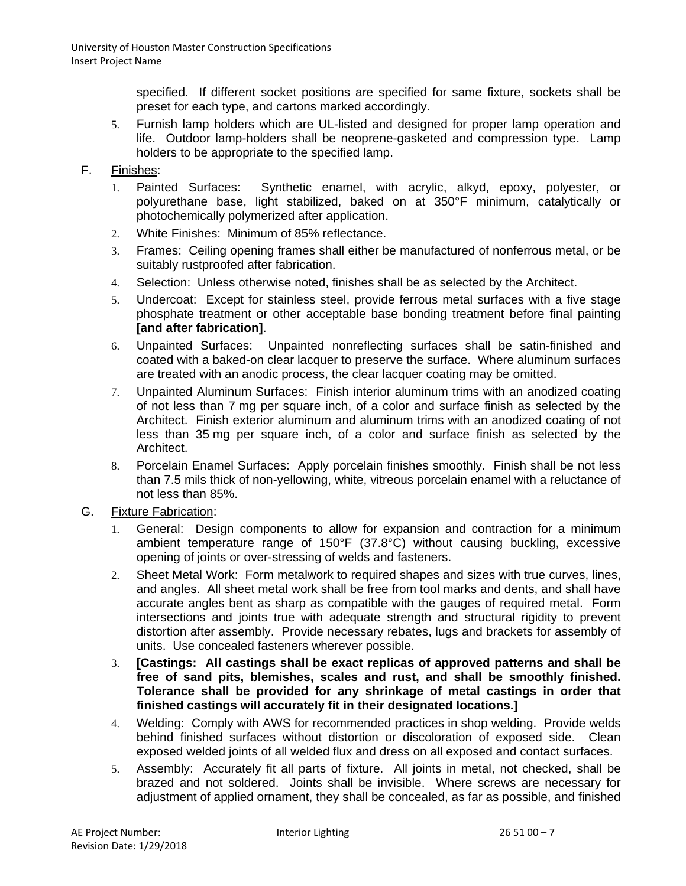specified. If different socket positions are specified for same fixture, sockets shall be preset for each type, and cartons marked accordingly.

5. Furnish lamp holders which are UL-listed and designed for proper lamp operation and life. Outdoor lamp-holders shall be neoprene-gasketed and compression type. Lamp holders to be appropriate to the specified lamp.

### F. Finishes:

- 1. Painted Surfaces: Synthetic enamel, with acrylic, alkyd, epoxy, polyester, or polyurethane base, light stabilized, baked on at 350°F minimum, catalytically or photochemically polymerized after application.
- 2. White Finishes: Minimum of 85% reflectance.
- 3. Frames: Ceiling opening frames shall either be manufactured of nonferrous metal, or be suitably rustproofed after fabrication.
- 4. Selection: Unless otherwise noted, finishes shall be as selected by the Architect.
- 5. Undercoat: Except for stainless steel, provide ferrous metal surfaces with a five stage phosphate treatment or other acceptable base bonding treatment before final painting **[and after fabrication]**.
- 6. Unpainted Surfaces: Unpainted nonreflecting surfaces shall be satin-finished and coated with a baked-on clear lacquer to preserve the surface. Where aluminum surfaces are treated with an anodic process, the clear lacquer coating may be omitted.
- 7. Unpainted Aluminum Surfaces: Finish interior aluminum trims with an anodized coating of not less than 7 mg per square inch, of a color and surface finish as selected by the Architect. Finish exterior aluminum and aluminum trims with an anodized coating of not less than 35 mg per square inch, of a color and surface finish as selected by the Architect.
- 8. Porcelain Enamel Surfaces: Apply porcelain finishes smoothly. Finish shall be not less than 7.5 mils thick of non-yellowing, white, vitreous porcelain enamel with a reluctance of not less than 85%.

### G. Fixture Fabrication:

- 1. General: Design components to allow for expansion and contraction for a minimum ambient temperature range of 150°F (37.8°C) without causing buckling, excessive opening of joints or over-stressing of welds and fasteners.
- 2. Sheet Metal Work: Form metalwork to required shapes and sizes with true curves, lines, and angles. All sheet metal work shall be free from tool marks and dents, and shall have accurate angles bent as sharp as compatible with the gauges of required metal. Form intersections and joints true with adequate strength and structural rigidity to prevent distortion after assembly. Provide necessary rebates, lugs and brackets for assembly of units. Use concealed fasteners wherever possible.
- 3. **[Castings: All castings shall be exact replicas of approved patterns and shall be free of sand pits, blemishes, scales and rust, and shall be smoothly finished. Tolerance shall be provided for any shrinkage of metal castings in order that finished castings will accurately fit in their designated locations.]**
- 4. Welding: Comply with AWS for recommended practices in shop welding. Provide welds behind finished surfaces without distortion or discoloration of exposed side. Clean exposed welded joints of all welded flux and dress on all exposed and contact surfaces.
- 5. Assembly: Accurately fit all parts of fixture. All joints in metal, not checked, shall be brazed and not soldered. Joints shall be invisible. Where screws are necessary for adjustment of applied ornament, they shall be concealed, as far as possible, and finished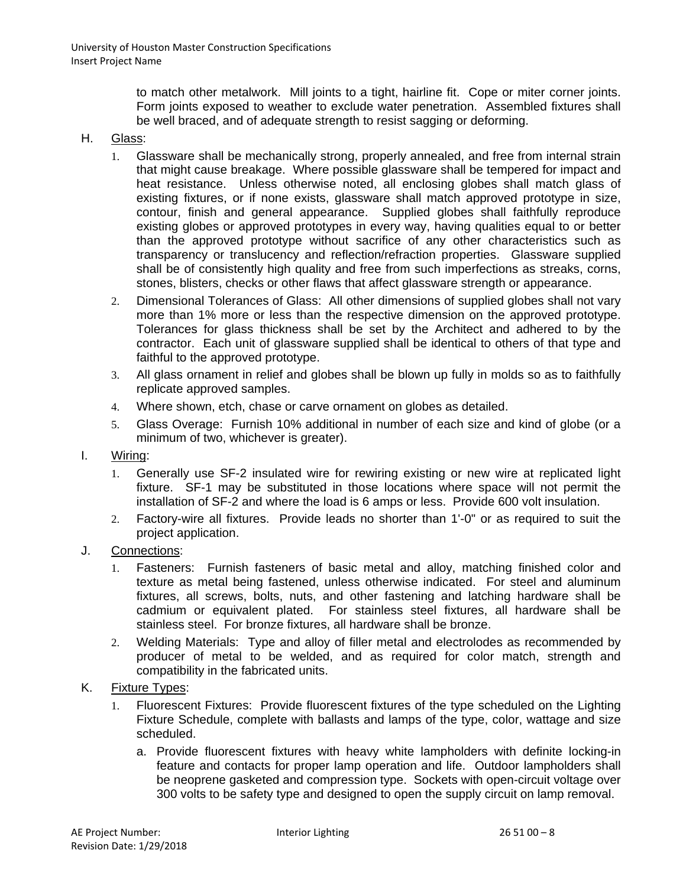to match other metalwork. Mill joints to a tight, hairline fit. Cope or miter corner joints. Form joints exposed to weather to exclude water penetration. Assembled fixtures shall be well braced, and of adequate strength to resist sagging or deforming.

#### H. Glass:

- 1. Glassware shall be mechanically strong, properly annealed, and free from internal strain that might cause breakage. Where possible glassware shall be tempered for impact and heat resistance. Unless otherwise noted, all enclosing globes shall match glass of existing fixtures, or if none exists, glassware shall match approved prototype in size, contour, finish and general appearance. Supplied globes shall faithfully reproduce existing globes or approved prototypes in every way, having qualities equal to or better than the approved prototype without sacrifice of any other characteristics such as transparency or translucency and reflection/refraction properties. Glassware supplied shall be of consistently high quality and free from such imperfections as streaks, corns, stones, blisters, checks or other flaws that affect glassware strength or appearance.
- 2. Dimensional Tolerances of Glass: All other dimensions of supplied globes shall not vary more than 1% more or less than the respective dimension on the approved prototype. Tolerances for glass thickness shall be set by the Architect and adhered to by the contractor. Each unit of glassware supplied shall be identical to others of that type and faithful to the approved prototype.
- 3. All glass ornament in relief and globes shall be blown up fully in molds so as to faithfully replicate approved samples.
- 4. Where shown, etch, chase or carve ornament on globes as detailed.
- 5. Glass Overage: Furnish 10% additional in number of each size and kind of globe (or a minimum of two, whichever is greater).
- I. Wiring:
	- 1. Generally use SF-2 insulated wire for rewiring existing or new wire at replicated light fixture. SF-1 may be substituted in those locations where space will not permit the installation of SF-2 and where the load is 6 amps or less. Provide 600 volt insulation.
	- 2. Factory-wire all fixtures. Provide leads no shorter than 1'-0" or as required to suit the project application.
- J. Connections:
	- 1. Fasteners: Furnish fasteners of basic metal and alloy, matching finished color and texture as metal being fastened, unless otherwise indicated. For steel and aluminum fixtures, all screws, bolts, nuts, and other fastening and latching hardware shall be cadmium or equivalent plated. For stainless steel fixtures, all hardware shall be stainless steel. For bronze fixtures, all hardware shall be bronze.
	- 2. Welding Materials: Type and alloy of filler metal and electrolodes as recommended by producer of metal to be welded, and as required for color match, strength and compatibility in the fabricated units.
- K. Fixture Types:
	- 1. Fluorescent Fixtures: Provide fluorescent fixtures of the type scheduled on the Lighting Fixture Schedule, complete with ballasts and lamps of the type, color, wattage and size scheduled.
		- a. Provide fluorescent fixtures with heavy white lampholders with definite locking-in feature and contacts for proper lamp operation and life. Outdoor lampholders shall be neoprene gasketed and compression type. Sockets with open-circuit voltage over 300 volts to be safety type and designed to open the supply circuit on lamp removal.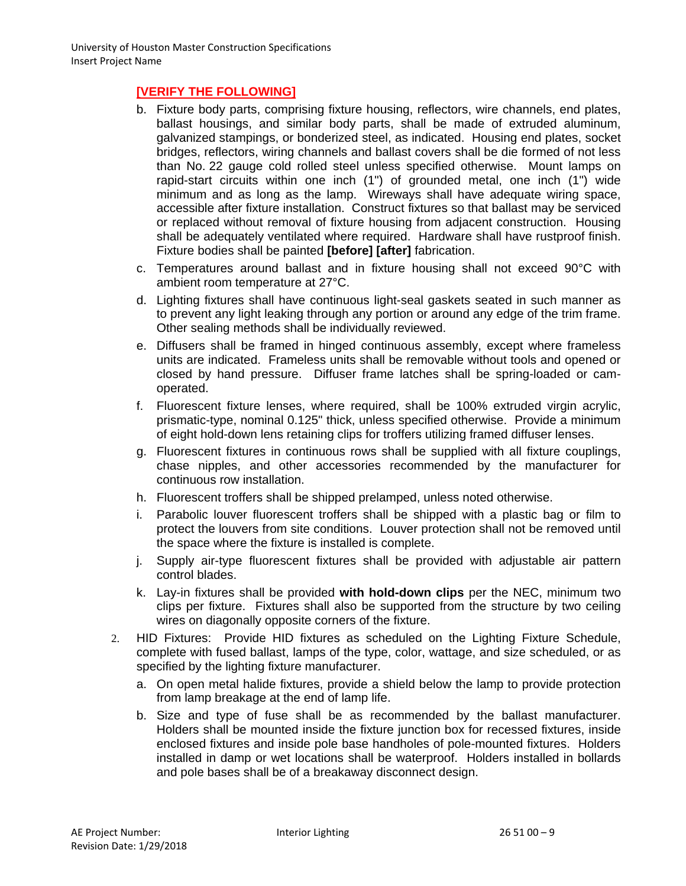# **[VERIFY THE FOLLOWING]**

- b. Fixture body parts, comprising fixture housing, reflectors, wire channels, end plates, ballast housings, and similar body parts, shall be made of extruded aluminum, galvanized stampings, or bonderized steel, as indicated. Housing end plates, socket bridges, reflectors, wiring channels and ballast covers shall be die formed of not less than No. 22 gauge cold rolled steel unless specified otherwise. Mount lamps on rapid-start circuits within one inch (1") of grounded metal, one inch (1") wide minimum and as long as the lamp. Wireways shall have adequate wiring space, accessible after fixture installation. Construct fixtures so that ballast may be serviced or replaced without removal of fixture housing from adjacent construction. Housing shall be adequately ventilated where required. Hardware shall have rustproof finish. Fixture bodies shall be painted **[before] [after]** fabrication.
- c. Temperatures around ballast and in fixture housing shall not exceed 90°C with ambient room temperature at 27°C.
- d. Lighting fixtures shall have continuous light-seal gaskets seated in such manner as to prevent any light leaking through any portion or around any edge of the trim frame. Other sealing methods shall be individually reviewed.
- e. Diffusers shall be framed in hinged continuous assembly, except where frameless units are indicated. Frameless units shall be removable without tools and opened or closed by hand pressure. Diffuser frame latches shall be spring-loaded or camoperated.
- f. Fluorescent fixture lenses, where required, shall be 100% extruded virgin acrylic, prismatic-type, nominal 0.125" thick, unless specified otherwise. Provide a minimum of eight hold-down lens retaining clips for troffers utilizing framed diffuser lenses.
- g. Fluorescent fixtures in continuous rows shall be supplied with all fixture couplings, chase nipples, and other accessories recommended by the manufacturer for continuous row installation.
- h. Fluorescent troffers shall be shipped prelamped, unless noted otherwise.
- i. Parabolic louver fluorescent troffers shall be shipped with a plastic bag or film to protect the louvers from site conditions. Louver protection shall not be removed until the space where the fixture is installed is complete.
- j. Supply air-type fluorescent fixtures shall be provided with adjustable air pattern control blades.
- k. Lay-in fixtures shall be provided **with hold-down clips** per the NEC, minimum two clips per fixture. Fixtures shall also be supported from the structure by two ceiling wires on diagonally opposite corners of the fixture.
- 2. HID Fixtures: Provide HID fixtures as scheduled on the Lighting Fixture Schedule, complete with fused ballast, lamps of the type, color, wattage, and size scheduled, or as specified by the lighting fixture manufacturer.
	- a. On open metal halide fixtures, provide a shield below the lamp to provide protection from lamp breakage at the end of lamp life.
	- b. Size and type of fuse shall be as recommended by the ballast manufacturer. Holders shall be mounted inside the fixture junction box for recessed fixtures, inside enclosed fixtures and inside pole base handholes of pole-mounted fixtures. Holders installed in damp or wet locations shall be waterproof. Holders installed in bollards and pole bases shall be of a breakaway disconnect design.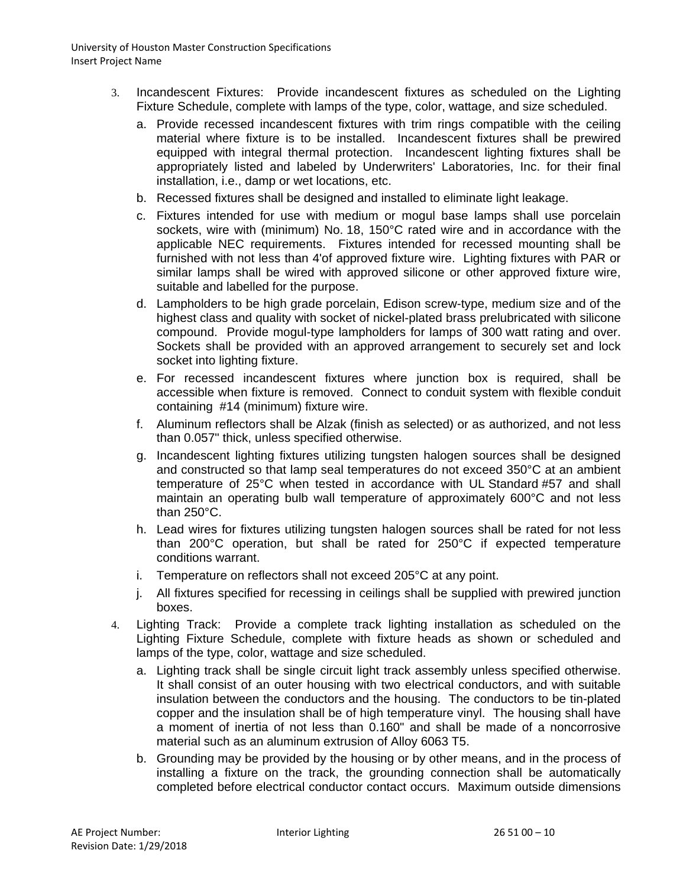- 3. Incandescent Fixtures: Provide incandescent fixtures as scheduled on the Lighting Fixture Schedule, complete with lamps of the type, color, wattage, and size scheduled.
	- a. Provide recessed incandescent fixtures with trim rings compatible with the ceiling material where fixture is to be installed. Incandescent fixtures shall be prewired equipped with integral thermal protection. Incandescent lighting fixtures shall be appropriately listed and labeled by Underwriters' Laboratories, Inc. for their final installation, i.e., damp or wet locations, etc.
	- b. Recessed fixtures shall be designed and installed to eliminate light leakage.
	- c. Fixtures intended for use with medium or mogul base lamps shall use porcelain sockets, wire with (minimum) No. 18, 150°C rated wire and in accordance with the applicable NEC requirements. Fixtures intended for recessed mounting shall be furnished with not less than 4'of approved fixture wire. Lighting fixtures with PAR or similar lamps shall be wired with approved silicone or other approved fixture wire, suitable and labelled for the purpose.
	- d. Lampholders to be high grade porcelain, Edison screw-type, medium size and of the highest class and quality with socket of nickel-plated brass prelubricated with silicone compound. Provide mogul-type lampholders for lamps of 300 watt rating and over. Sockets shall be provided with an approved arrangement to securely set and lock socket into lighting fixture.
	- e. For recessed incandescent fixtures where junction box is required, shall be accessible when fixture is removed. Connect to conduit system with flexible conduit containing #14 (minimum) fixture wire.
	- f. Aluminum reflectors shall be Alzak (finish as selected) or as authorized, and not less than 0.057" thick, unless specified otherwise.
	- g. Incandescent lighting fixtures utilizing tungsten halogen sources shall be designed and constructed so that lamp seal temperatures do not exceed 350°C at an ambient temperature of 25°C when tested in accordance with UL Standard #57 and shall maintain an operating bulb wall temperature of approximately 600°C and not less than 250°C.
	- h. Lead wires for fixtures utilizing tungsten halogen sources shall be rated for not less than 200°C operation, but shall be rated for 250°C if expected temperature conditions warrant.
	- i. Temperature on reflectors shall not exceed 205°C at any point.
	- j. All fixtures specified for recessing in ceilings shall be supplied with prewired junction boxes.
- 4. Lighting Track: Provide a complete track lighting installation as scheduled on the Lighting Fixture Schedule, complete with fixture heads as shown or scheduled and lamps of the type, color, wattage and size scheduled.
	- a. Lighting track shall be single circuit light track assembly unless specified otherwise. It shall consist of an outer housing with two electrical conductors, and with suitable insulation between the conductors and the housing. The conductors to be tin-plated copper and the insulation shall be of high temperature vinyl. The housing shall have a moment of inertia of not less than 0.160" and shall be made of a noncorrosive material such as an aluminum extrusion of Alloy 6063 T5.
	- b. Grounding may be provided by the housing or by other means, and in the process of installing a fixture on the track, the grounding connection shall be automatically completed before electrical conductor contact occurs. Maximum outside dimensions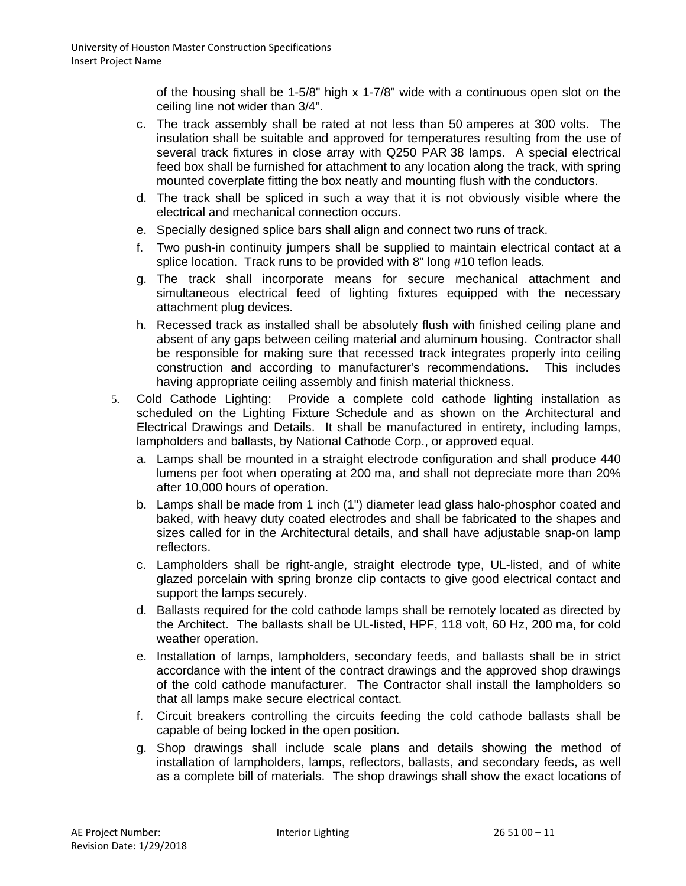of the housing shall be 1-5/8" high x 1-7/8" wide with a continuous open slot on the ceiling line not wider than 3/4".

- c. The track assembly shall be rated at not less than 50 amperes at 300 volts. The insulation shall be suitable and approved for temperatures resulting from the use of several track fixtures in close array with Q250 PAR 38 lamps. A special electrical feed box shall be furnished for attachment to any location along the track, with spring mounted coverplate fitting the box neatly and mounting flush with the conductors.
- d. The track shall be spliced in such a way that it is not obviously visible where the electrical and mechanical connection occurs.
- e. Specially designed splice bars shall align and connect two runs of track.
- f. Two push-in continuity jumpers shall be supplied to maintain electrical contact at a splice location. Track runs to be provided with 8" long #10 teflon leads.
- g. The track shall incorporate means for secure mechanical attachment and simultaneous electrical feed of lighting fixtures equipped with the necessary attachment plug devices.
- h. Recessed track as installed shall be absolutely flush with finished ceiling plane and absent of any gaps between ceiling material and aluminum housing. Contractor shall be responsible for making sure that recessed track integrates properly into ceiling construction and according to manufacturer's recommendations. This includes having appropriate ceiling assembly and finish material thickness.
- 5. Cold Cathode Lighting: Provide a complete cold cathode lighting installation as scheduled on the Lighting Fixture Schedule and as shown on the Architectural and Electrical Drawings and Details. It shall be manufactured in entirety, including lamps, lampholders and ballasts, by National Cathode Corp., or approved equal.
	- a. Lamps shall be mounted in a straight electrode configuration and shall produce 440 lumens per foot when operating at 200 ma, and shall not depreciate more than 20% after 10,000 hours of operation.
	- b. Lamps shall be made from 1 inch (1") diameter lead glass halo-phosphor coated and baked, with heavy duty coated electrodes and shall be fabricated to the shapes and sizes called for in the Architectural details, and shall have adjustable snap-on lamp reflectors.
	- c. Lampholders shall be right-angle, straight electrode type, UL-listed, and of white glazed porcelain with spring bronze clip contacts to give good electrical contact and support the lamps securely.
	- d. Ballasts required for the cold cathode lamps shall be remotely located as directed by the Architect. The ballasts shall be UL-listed, HPF, 118 volt, 60 Hz, 200 ma, for cold weather operation.
	- e. Installation of lamps, lampholders, secondary feeds, and ballasts shall be in strict accordance with the intent of the contract drawings and the approved shop drawings of the cold cathode manufacturer. The Contractor shall install the lampholders so that all lamps make secure electrical contact.
	- f. Circuit breakers controlling the circuits feeding the cold cathode ballasts shall be capable of being locked in the open position.
	- g. Shop drawings shall include scale plans and details showing the method of installation of lampholders, lamps, reflectors, ballasts, and secondary feeds, as well as a complete bill of materials. The shop drawings shall show the exact locations of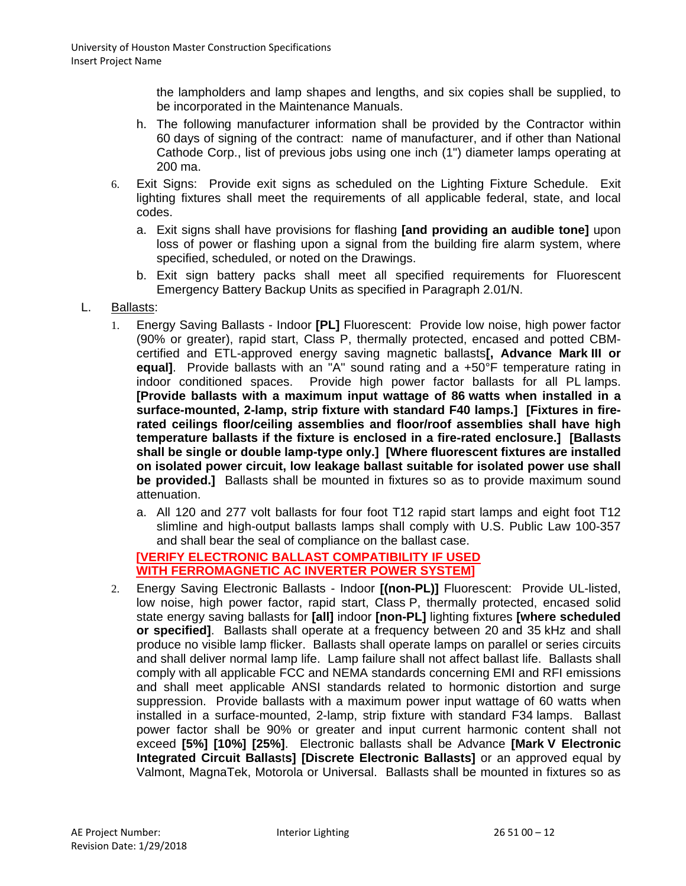the lampholders and lamp shapes and lengths, and six copies shall be supplied, to be incorporated in the Maintenance Manuals.

- h. The following manufacturer information shall be provided by the Contractor within 60 days of signing of the contract: name of manufacturer, and if other than National Cathode Corp., list of previous jobs using one inch (1") diameter lamps operating at 200 ma.
- 6. Exit Signs: Provide exit signs as scheduled on the Lighting Fixture Schedule. Exit lighting fixtures shall meet the requirements of all applicable federal, state, and local codes.
	- a. Exit signs shall have provisions for flashing **[and providing an audible tone]** upon loss of power or flashing upon a signal from the building fire alarm system, where specified, scheduled, or noted on the Drawings.
	- b. Exit sign battery packs shall meet all specified requirements for Fluorescent Emergency Battery Backup Units as specified in Paragraph 2.01/N.
- L. Ballasts:
	- 1. Energy Saving Ballasts Indoor **[PL]** Fluorescent: Provide low noise, high power factor (90% or greater), rapid start, Class P, thermally protected, encased and potted CBMcertified and ETL-approved energy saving magnetic ballasts**[, Advance Mark III or equal]**. Provide ballasts with an "A" sound rating and a +50°F temperature rating in indoor conditioned spaces. Provide high power factor ballasts for all PL lamps. **[Provide ballasts with a maximum input wattage of 86 watts when installed in a surface-mounted, 2-lamp, strip fixture with standard F40 lamps.] [Fixtures in firerated ceilings floor/ceiling assemblies and floor/roof assemblies shall have high temperature ballasts if the fixture is enclosed in a fire-rated enclosure.] [Ballasts shall be single or double lamp-type only.] [Where fluorescent fixtures are installed on isolated power circuit, low leakage ballast suitable for isolated power use shall be provided.]** Ballasts shall be mounted in fixtures so as to provide maximum sound attenuation.
		- a. All 120 and 277 volt ballasts for four foot T12 rapid start lamps and eight foot T12 slimline and high-output ballasts lamps shall comply with U.S. Public Law 100-357 and shall bear the seal of compliance on the ballast case.

#### **[VERIFY ELECTRONIC BALLAST COMPATIBILITY IF USED WITH FERROMAGNETIC AC INVERTER POWER SYSTEM]**

2. Energy Saving Electronic Ballasts - Indoor **[(non-PL)]** Fluorescent: Provide UL-listed, low noise, high power factor, rapid start, Class P, thermally protected, encased solid state energy saving ballasts for **[all]** indoor **[non-PL]** lighting fixtures **[where scheduled or specified]**. Ballasts shall operate at a frequency between 20 and 35 kHz and shall produce no visible lamp flicker. Ballasts shall operate lamps on parallel or series circuits and shall deliver normal lamp life. Lamp failure shall not affect ballast life. Ballasts shall comply with all applicable FCC and NEMA standards concerning EMI and RFI emissions and shall meet applicable ANSI standards related to hormonic distortion and surge suppression. Provide ballasts with a maximum power input wattage of 60 watts when installed in a surface-mounted, 2-lamp, strip fixture with standard F34 lamps. Ballast power factor shall be 90% or greater and input current harmonic content shall not exceed **[5%] [10%] [25%]**. Electronic ballasts shall be Advance **[Mark V Electronic Integrated Circuit Ballas**t**s] [Discrete Electronic Ballasts]** or an approved equal by Valmont, MagnaTek, Motorola or Universal. Ballasts shall be mounted in fixtures so as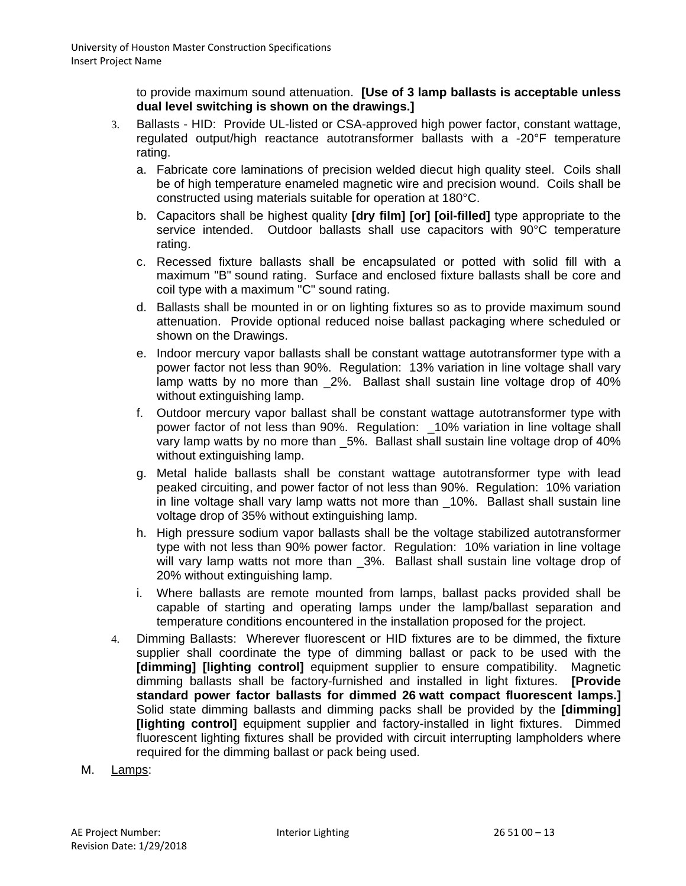to provide maximum sound attenuation. **[Use of 3 lamp ballasts is acceptable unless dual level switching is shown on the drawings.]**

- 3. Ballasts HID: Provide UL-listed or CSA-approved high power factor, constant wattage, regulated output/high reactance autotransformer ballasts with a -20°F temperature rating.
	- a. Fabricate core laminations of precision welded diecut high quality steel. Coils shall be of high temperature enameled magnetic wire and precision wound. Coils shall be constructed using materials suitable for operation at 180°C.
	- b. Capacitors shall be highest quality **[dry film] [or] [oil-filled]** type appropriate to the service intended. Outdoor ballasts shall use capacitors with 90°C temperature rating.
	- c. Recessed fixture ballasts shall be encapsulated or potted with solid fill with a maximum "B" sound rating. Surface and enclosed fixture ballasts shall be core and coil type with a maximum "C" sound rating.
	- d. Ballasts shall be mounted in or on lighting fixtures so as to provide maximum sound attenuation. Provide optional reduced noise ballast packaging where scheduled or shown on the Drawings.
	- e. Indoor mercury vapor ballasts shall be constant wattage autotransformer type with a power factor not less than 90%. Regulation: 13% variation in line voltage shall vary lamp watts by no more than \_2%. Ballast shall sustain line voltage drop of 40% without extinguishing lamp.
	- f. Outdoor mercury vapor ballast shall be constant wattage autotransformer type with power factor of not less than 90%. Regulation: \_10% variation in line voltage shall vary lamp watts by no more than \_5%. Ballast shall sustain line voltage drop of 40% without extinguishing lamp.
	- g. Metal halide ballasts shall be constant wattage autotransformer type with lead peaked circuiting, and power factor of not less than 90%. Regulation: 10% variation in line voltage shall vary lamp watts not more than \_10%. Ballast shall sustain line voltage drop of 35% without extinguishing lamp.
	- h. High pressure sodium vapor ballasts shall be the voltage stabilized autotransformer type with not less than 90% power factor. Regulation: 10% variation in line voltage will vary lamp watts not more than 3%. Ballast shall sustain line voltage drop of 20% without extinguishing lamp.
	- i. Where ballasts are remote mounted from lamps, ballast packs provided shall be capable of starting and operating lamps under the lamp/ballast separation and temperature conditions encountered in the installation proposed for the project.
- 4. Dimming Ballasts: Wherever fluorescent or HID fixtures are to be dimmed, the fixture supplier shall coordinate the type of dimming ballast or pack to be used with the **[dimming] [lighting control]** equipment supplier to ensure compatibility. Magnetic dimming ballasts shall be factory-furnished and installed in light fixtures. **[Provide standard power factor ballasts for dimmed 26 watt compact fluorescent lamps.]** Solid state dimming ballasts and dimming packs shall be provided by the **[dimming] [lighting control]** equipment supplier and factory-installed in light fixtures. Dimmed fluorescent lighting fixtures shall be provided with circuit interrupting lampholders where required for the dimming ballast or pack being used.
- M. Lamps: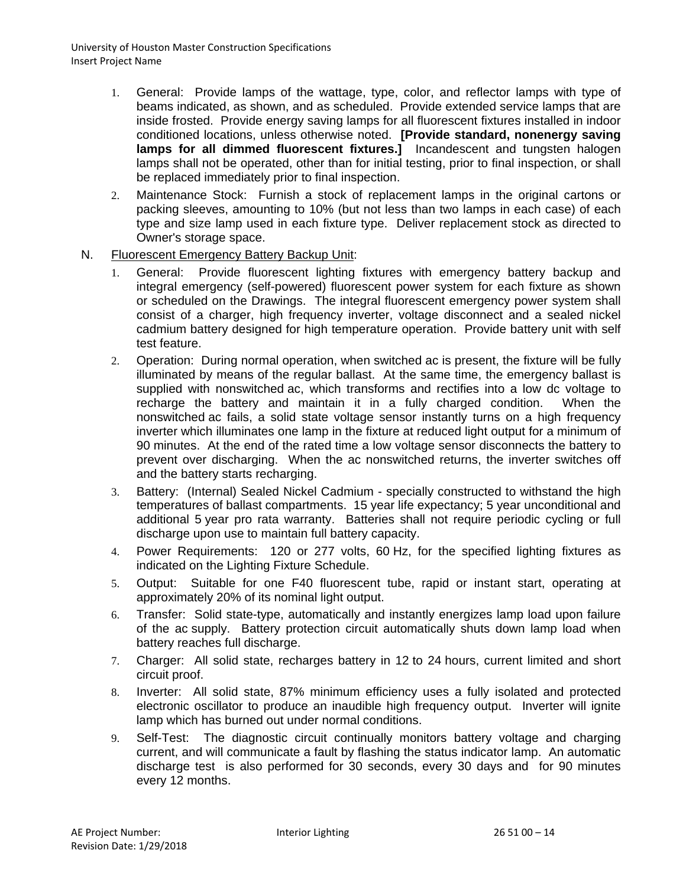- 1. General: Provide lamps of the wattage, type, color, and reflector lamps with type of beams indicated, as shown, and as scheduled. Provide extended service lamps that are inside frosted. Provide energy saving lamps for all fluorescent fixtures installed in indoor conditioned locations, unless otherwise noted. **[Provide standard, nonenergy saving lamps for all dimmed fluorescent fixtures.]** Incandescent and tungsten halogen lamps shall not be operated, other than for initial testing, prior to final inspection, or shall be replaced immediately prior to final inspection.
- 2. Maintenance Stock: Furnish a stock of replacement lamps in the original cartons or packing sleeves, amounting to 10% (but not less than two lamps in each case) of each type and size lamp used in each fixture type. Deliver replacement stock as directed to Owner's storage space.
- N. Fluorescent Emergency Battery Backup Unit:
	- 1. General: Provide fluorescent lighting fixtures with emergency battery backup and integral emergency (self-powered) fluorescent power system for each fixture as shown or scheduled on the Drawings. The integral fluorescent emergency power system shall consist of a charger, high frequency inverter, voltage disconnect and a sealed nickel cadmium battery designed for high temperature operation. Provide battery unit with self test feature.
	- 2. Operation: During normal operation, when switched ac is present, the fixture will be fully illuminated by means of the regular ballast. At the same time, the emergency ballast is supplied with nonswitched ac, which transforms and rectifies into a low dc voltage to recharge the battery and maintain it in a fully charged condition. When the recharge the battery and maintain it in a fully charged condition. nonswitched ac fails, a solid state voltage sensor instantly turns on a high frequency inverter which illuminates one lamp in the fixture at reduced light output for a minimum of 90 minutes. At the end of the rated time a low voltage sensor disconnects the battery to prevent over discharging. When the ac nonswitched returns, the inverter switches off and the battery starts recharging.
	- 3. Battery: (Internal) Sealed Nickel Cadmium specially constructed to withstand the high temperatures of ballast compartments. 15 year life expectancy; 5 year unconditional and additional 5 year pro rata warranty. Batteries shall not require periodic cycling or full discharge upon use to maintain full battery capacity.
	- 4. Power Requirements: 120 or 277 volts, 60 Hz, for the specified lighting fixtures as indicated on the Lighting Fixture Schedule.
	- 5. Output: Suitable for one F40 fluorescent tube, rapid or instant start, operating at approximately 20% of its nominal light output.
	- 6. Transfer: Solid state-type, automatically and instantly energizes lamp load upon failure of the ac supply. Battery protection circuit automatically shuts down lamp load when battery reaches full discharge.
	- 7. Charger: All solid state, recharges battery in 12 to 24 hours, current limited and short circuit proof.
	- 8. Inverter: All solid state, 87% minimum efficiency uses a fully isolated and protected electronic oscillator to produce an inaudible high frequency output. Inverter will ignite lamp which has burned out under normal conditions.
	- 9. Self-Test: The diagnostic circuit continually monitors battery voltage and charging current, and will communicate a fault by flashing the status indicator lamp. An automatic discharge test is also performed for 30 seconds, every 30 days and for 90 minutes every 12 months.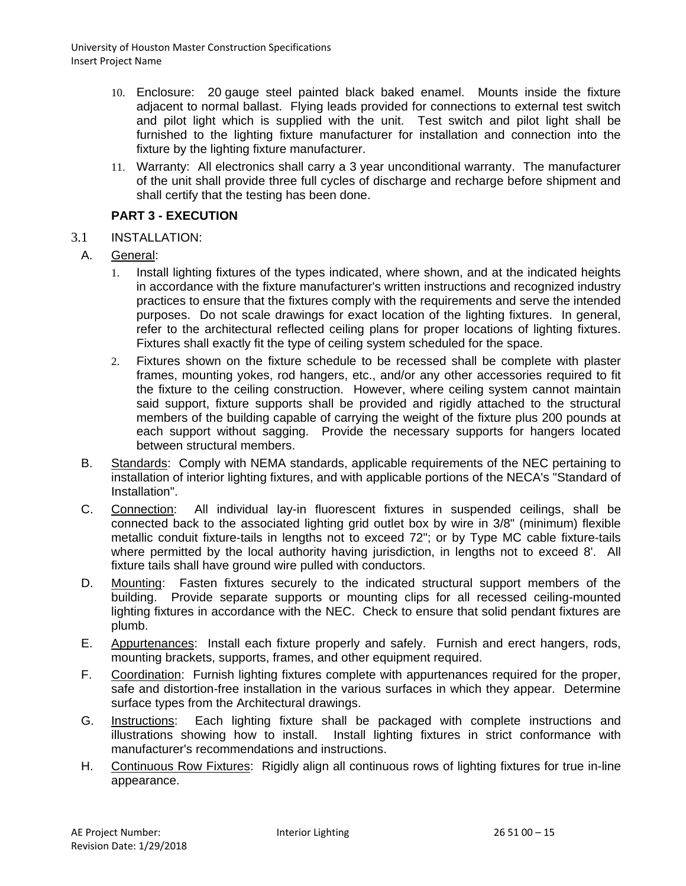- 10. Enclosure: 20 gauge steel painted black baked enamel. Mounts inside the fixture adjacent to normal ballast. Flying leads provided for connections to external test switch and pilot light which is supplied with the unit. Test switch and pilot light shall be furnished to the lighting fixture manufacturer for installation and connection into the fixture by the lighting fixture manufacturer.
- 11. Warranty: All electronics shall carry a 3 year unconditional warranty. The manufacturer of the unit shall provide three full cycles of discharge and recharge before shipment and shall certify that the testing has been done.

# **PART 3 - EXECUTION**

- 3.1 INSTALLATION:
	- A. General:
		- 1. Install lighting fixtures of the types indicated, where shown, and at the indicated heights in accordance with the fixture manufacturer's written instructions and recognized industry practices to ensure that the fixtures comply with the requirements and serve the intended purposes. Do not scale drawings for exact location of the lighting fixtures. In general, refer to the architectural reflected ceiling plans for proper locations of lighting fixtures. Fixtures shall exactly fit the type of ceiling system scheduled for the space.
		- 2. Fixtures shown on the fixture schedule to be recessed shall be complete with plaster frames, mounting yokes, rod hangers, etc., and/or any other accessories required to fit the fixture to the ceiling construction. However, where ceiling system cannot maintain said support, fixture supports shall be provided and rigidly attached to the structural members of the building capable of carrying the weight of the fixture plus 200 pounds at each support without sagging. Provide the necessary supports for hangers located between structural members.
	- B. Standards: Comply with NEMA standards, applicable requirements of the NEC pertaining to installation of interior lighting fixtures, and with applicable portions of the NECA's "Standard of Installation".
	- C. Connection: All individual lay-in fluorescent fixtures in suspended ceilings, shall be connected back to the associated lighting grid outlet box by wire in 3/8" (minimum) flexible metallic conduit fixture-tails in lengths not to exceed 72"; or by Type MC cable fixture-tails where permitted by the local authority having jurisdiction, in lengths not to exceed 8'. All fixture tails shall have ground wire pulled with conductors.
	- D. Mounting: Fasten fixtures securely to the indicated structural support members of the building. Provide separate supports or mounting clips for all recessed ceiling-mounted lighting fixtures in accordance with the NEC. Check to ensure that solid pendant fixtures are plumb.
	- E. Appurtenances: Install each fixture properly and safely. Furnish and erect hangers, rods, mounting brackets, supports, frames, and other equipment required.
	- F. Coordination: Furnish lighting fixtures complete with appurtenances required for the proper, safe and distortion-free installation in the various surfaces in which they appear. Determine surface types from the Architectural drawings.
	- G. Instructions: Each lighting fixture shall be packaged with complete instructions and illustrations showing how to install. Install lighting fixtures in strict conformance with manufacturer's recommendations and instructions.
	- H. Continuous Row Fixtures: Rigidly align all continuous rows of lighting fixtures for true in-line appearance.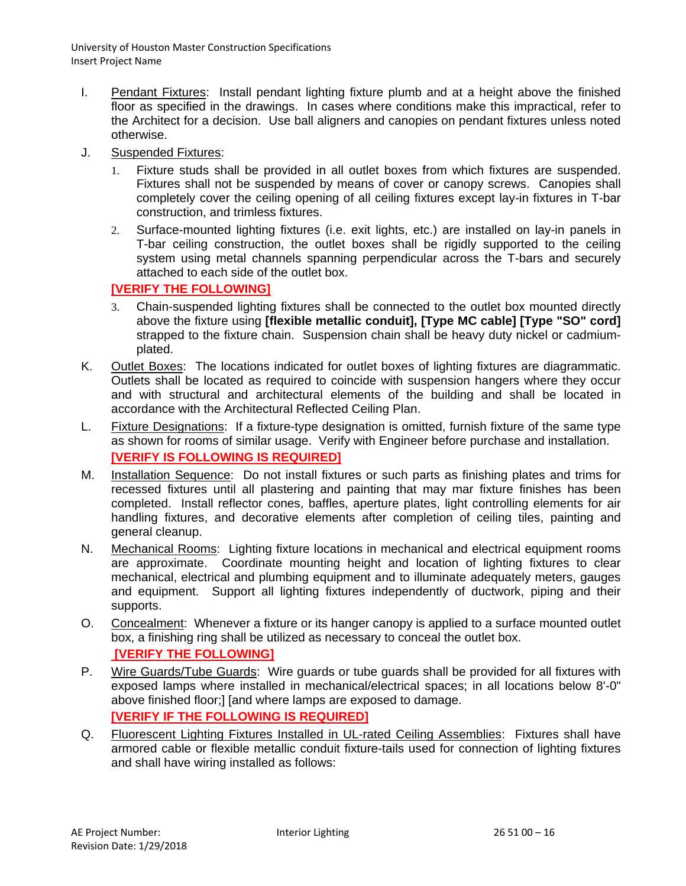- I. Pendant Fixtures: Install pendant lighting fixture plumb and at a height above the finished floor as specified in the drawings. In cases where conditions make this impractical, refer to the Architect for a decision. Use ball aligners and canopies on pendant fixtures unless noted otherwise.
- J. Suspended Fixtures:
	- 1. Fixture studs shall be provided in all outlet boxes from which fixtures are suspended. Fixtures shall not be suspended by means of cover or canopy screws. Canopies shall completely cover the ceiling opening of all ceiling fixtures except lay-in fixtures in T-bar construction, and trimless fixtures.
	- 2. Surface-mounted lighting fixtures (i.e. exit lights, etc.) are installed on lay-in panels in T-bar ceiling construction, the outlet boxes shall be rigidly supported to the ceiling system using metal channels spanning perpendicular across the T-bars and securely attached to each side of the outlet box.

# **[VERIFY THE FOLLOWING]**

- 3. Chain-suspended lighting fixtures shall be connected to the outlet box mounted directly above the fixture using **[flexible metallic conduit], [Type MC cable] [Type "SO" cord]** strapped to the fixture chain. Suspension chain shall be heavy duty nickel or cadmiumplated.
- K. Outlet Boxes: The locations indicated for outlet boxes of lighting fixtures are diagrammatic. Outlets shall be located as required to coincide with suspension hangers where they occur and with structural and architectural elements of the building and shall be located in accordance with the Architectural Reflected Ceiling Plan.
- L. Fixture Designations: If a fixture-type designation is omitted, furnish fixture of the same type as shown for rooms of similar usage. Verify with Engineer before purchase and installation. **[VERIFY IS FOLLOWING IS REQUIRED]**
- M. Installation Sequence: Do not install fixtures or such parts as finishing plates and trims for recessed fixtures until all plastering and painting that may mar fixture finishes has been completed. Install reflector cones, baffles, aperture plates, light controlling elements for air handling fixtures, and decorative elements after completion of ceiling tiles, painting and general cleanup.
- N. Mechanical Rooms: Lighting fixture locations in mechanical and electrical equipment rooms are approximate. Coordinate mounting height and location of lighting fixtures to clear mechanical, electrical and plumbing equipment and to illuminate adequately meters, gauges and equipment. Support all lighting fixtures independently of ductwork, piping and their supports.
- O. Concealment: Whenever a fixture or its hanger canopy is applied to a surface mounted outlet box, a finishing ring shall be utilized as necessary to conceal the outlet box. **[VERIFY THE FOLLOWING]**
- P. Wire Guards/Tube Guards: Wire guards or tube guards shall be provided for all fixtures with exposed lamps where installed in mechanical/electrical spaces; in all locations below 8'-0" above finished floor;] [and where lamps are exposed to damage. **[VERIFY IF THE FOLLOWING IS REQUIRED]**
- Q. Fluorescent Lighting Fixtures Installed in UL-rated Ceiling Assemblies: Fixtures shall have armored cable or flexible metallic conduit fixture-tails used for connection of lighting fixtures and shall have wiring installed as follows: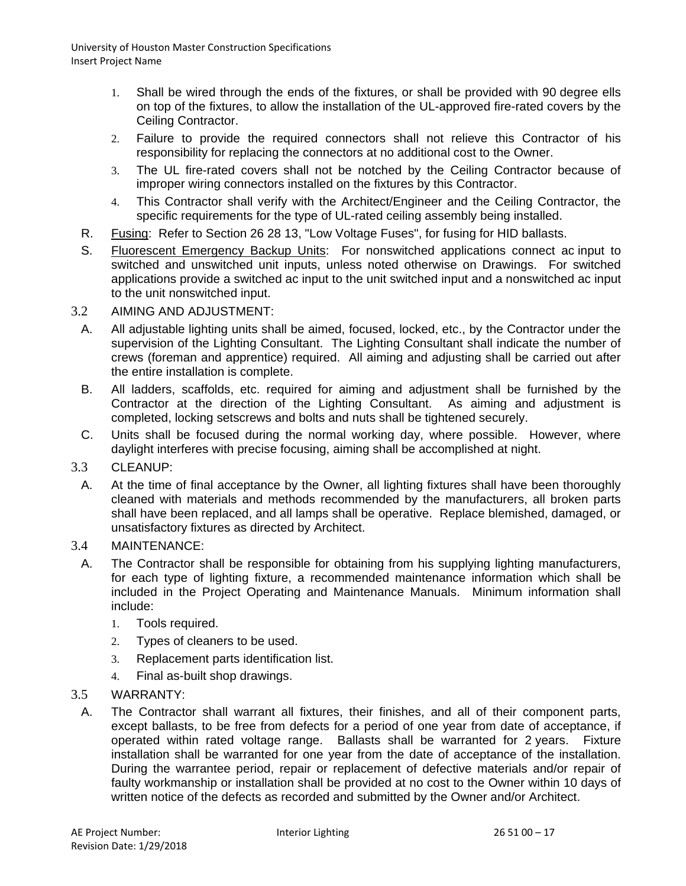- 1. Shall be wired through the ends of the fixtures, or shall be provided with 90 degree ells on top of the fixtures, to allow the installation of the UL-approved fire-rated covers by the Ceiling Contractor.
- 2. Failure to provide the required connectors shall not relieve this Contractor of his responsibility for replacing the connectors at no additional cost to the Owner.
- 3. The UL fire-rated covers shall not be notched by the Ceiling Contractor because of improper wiring connectors installed on the fixtures by this Contractor.
- 4. This Contractor shall verify with the Architect/Engineer and the Ceiling Contractor, the specific requirements for the type of UL-rated ceiling assembly being installed.
- R. Fusing: Refer to Section 26 28 13, "Low Voltage Fuses", for fusing for HID ballasts.
- S. Fluorescent Emergency Backup Units: For nonswitched applications connect ac input to switched and unswitched unit inputs, unless noted otherwise on Drawings. For switched applications provide a switched ac input to the unit switched input and a nonswitched ac input to the unit nonswitched input.

### 3.2 AIMING AND ADJUSTMENT:

- A. All adjustable lighting units shall be aimed, focused, locked, etc., by the Contractor under the supervision of the Lighting Consultant. The Lighting Consultant shall indicate the number of crews (foreman and apprentice) required. All aiming and adjusting shall be carried out after the entire installation is complete.
- B. All ladders, scaffolds, etc. required for aiming and adjustment shall be furnished by the Contractor at the direction of the Lighting Consultant. As aiming and adjustment is completed, locking setscrews and bolts and nuts shall be tightened securely.
- C. Units shall be focused during the normal working day, where possible. However, where daylight interferes with precise focusing, aiming shall be accomplished at night.

### 3.3 CLEANUP:

A. At the time of final acceptance by the Owner, all lighting fixtures shall have been thoroughly cleaned with materials and methods recommended by the manufacturers, all broken parts shall have been replaced, and all lamps shall be operative. Replace blemished, damaged, or unsatisfactory fixtures as directed by Architect.

#### 3.4 MAINTENANCE:

- A. The Contractor shall be responsible for obtaining from his supplying lighting manufacturers, for each type of lighting fixture, a recommended maintenance information which shall be included in the Project Operating and Maintenance Manuals. Minimum information shall include:
	- 1. Tools required.
	- 2. Types of cleaners to be used.
	- 3. Replacement parts identification list.
	- 4. Final as-built shop drawings.

### 3.5 WARRANTY:

A. The Contractor shall warrant all fixtures, their finishes, and all of their component parts, except ballasts, to be free from defects for a period of one year from date of acceptance, if operated within rated voltage range. Ballasts shall be warranted for 2 years. Fixture installation shall be warranted for one year from the date of acceptance of the installation. During the warrantee period, repair or replacement of defective materials and/or repair of faulty workmanship or installation shall be provided at no cost to the Owner within 10 days of written notice of the defects as recorded and submitted by the Owner and/or Architect.